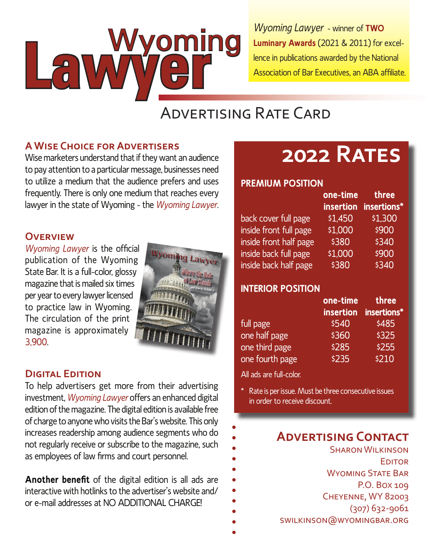Lawwering **Wyoming Lawyer - winner of TWO** Luminary Awards (2021 & 2011) for excellence in publications awarded by the National Association of Bar Executives, an ABA affiliate.

## **ADVERTISING RATE CARD**

#### **A WISE CHOICE FOR ADVERTISERS**

Wise marketers understand that if they want an audience to pay attention to a particular message, businesses need to utilize a medium that the audience prefers and uses frequently. There is only one medium that reaches every lawyer in the state of Wyoming - the Wyoming Lawyer.

#### **OVERVIEW**

Wyoming Lawyer is the official publication of the Wyoming State Bar. It is a full-color, glossy magazine that is mailed six times per year to every lawyer licensed to practice law in Wyoming. The circulation of the print magazine is approximately 3.900

# Wyoming Law

#### **DIGITAL FDITION**

To help advertisers get more from their advertising investment, Wyoming Lawyer offers an enhanced digital edition of the magazine. The digital edition is available free of charge to anyone who visits the Bar's website. This only increases readership among audience segments who do not regularly receive or subscribe to the magazine, such as employees of law firms and court personnel.

Another benefit of the digital edition is all ads are interactive with hotlinks to the advertiser's website and/ or e-mail addresses at NO ADDITIONAL CHARGE!

## **2022 RATES**

#### **PREMIUM POSITION**

|                        | one-time | <b>tnree</b>          |
|------------------------|----------|-----------------------|
|                        |          | insertion insertions* |
| back cover full page   | \$1,450  | \$1,300               |
| inside front full page | \$1,000  | \$900                 |
| inside front half page | \$380    | \$340                 |
| inside back full page  | \$1,000  | \$900                 |
| inside back half page  | \$380    | \$340                 |
|                        |          |                       |

#### **INTERIOR POSITION**

|                 | one-time  | three       |
|-----------------|-----------|-------------|
|                 | insertion | insertions* |
| full page       | \$540     | \$485       |
| one half page   | \$360     | \$325       |
| one third page  | \$285     | \$255       |
| one fourth page | \$235     | \$210       |

All ads are full-color.

\* Rate is per issue. Must be three consecutive issues in order to receive discount.

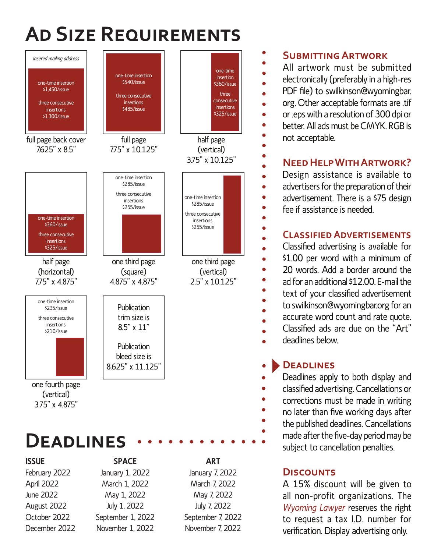# **AD** SIZE REQUIREMENTS



#### **SUBMITTING ARTWORK**

All artwork must be submitted electronically (preferably in a high-res PDF file) to swilkinson@wyomingbar. org. Other acceptable formats are .tif or .eps with a resolution of 300 dpi or better. All ads must be CMYK. RGB is not acceptable.

### $N$ **EED HELP WITH ARTWORK?**

Design assistance is available to advertisers for the preparation of their advertisement. There is a \$75 design fee if assistance is needed.

#### **CLASSIFIED ADVERTISEMENTS**

Classified advertising is available for \$1.00 per word with a minimum of 20 words. Add a border around the ad for an additional \$12.00. E-mail the text of your classified advertisement to swilkinson@wyomingbar.org for an accurate word count and rate quote. Classified ads are due on the "Art" deadlines below.

#### **DEADLINES**

Deadlines apply to both display and classified advertising. Cancellations or corrections must be made in writing no later than five working days after the published deadlines. Cancellations made after the five-day period may be subject to cancellation penalties.

#### **DISCOUNTS**

A 15% discount will be given to all non-profit organizations. The *Wyoming Lawyer* reserves the right to request a tax I.D. number for verification. Display advertising only.

## **ISSUE SPACE ART**

February 2022 January 1, 2022 January 7, 2022 April 2022 March 1, 2022 March 7, 2022 June 2022 May 1, 2022 May 7, 2022 August 2022 July 1, 2022 July 7, 2022 October 2022 September 1, 2022 September 7, 2022 December 2022 November 1, 2022 November 7, 2022